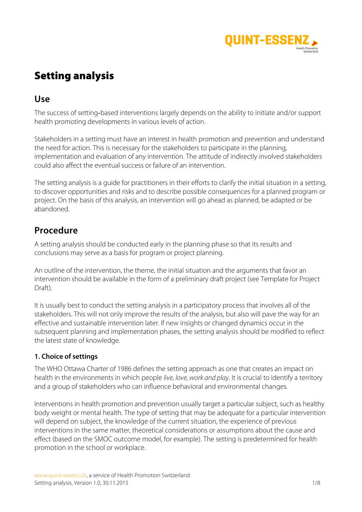

# Setting analysis

## **Use**

The success of setting-based interventions largely depends on the ability to initiate and/or support health promoting developments in various levels of action.

Stakeholders in a setting must have an interest in health promotion and prevention and understand the need for action. This is necessary for the stakeholders to participate in the planning, implementation and evaluation of any intervention. The attitude of indirectly involved stakeholders could also affect the eventual success or failure of an intervention.

The setting analysis is a guide for practitioners in their efforts to clarify the initial situation in a setting, to discover opportunities and risks and to describe possible consequences for a planned program or project. On the basis of this analysis, an intervention will go ahead as planned, be adapted or be abandoned.

## **Procedure**

A setting analysis should be conducted early in the planning phase so that its results and conclusions may serve as a basis for program or project planning.

An outline of the intervention, the theme, the initial situation and the arguments that favor an intervention should be available in the form of a preliminary draft project (see Template for Project Draft).

It is usually best to conduct the setting analysis in a participatory process that involves all of the stakeholders. This will not only improve the results of the analysis, but also will pave the way for an effective and sustainable intervention later. If new insights or changed dynamics occur in the subsequent planning and implementation phases, the setting analysis should be modified to reflect the latest state of knowledge.

### **1. Choice of settings**

The WHO Ottawa Charter of 1986 defines the setting approach as one that creates an impact on health in the environments in which people *live, love, work and play*. It is crucial to identify a territory and a group of stakeholders who can influence behavioral and environmental changes*.*

Interventions in health promotion and prevention usually target a particular subject, such as healthy body weight or mental health. The type of setting that may be adequate for a particular intervention will depend on subject, the knowledge of the current situation, the experience of previous interventions in the same matter, theoretical considerations or assumptions about the cause and effect (based on the SMOC outcome model, for example). The setting is predetermined for health promotion in the school or workplace.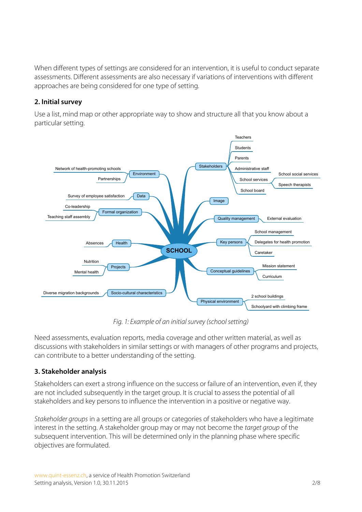When different types of settings are considered for an intervention, it is useful to conduct separate assessments. Different assessments are also necessary if variations of interventions with different approaches are being considered for one type of setting.

### **2. Initial survey**

Use a list, mind map or other appropriate way to show and structure all that you know about a particular setting.



*Fig. 1: Example of an initial survey (school setting)*

Need assessments, evaluation reports, media coverage and other written material, as well as discussions with stakeholders in similar settings or with managers of other programs and projects, can contribute to a better understanding of the setting.

### **3. Stakeholder analysis**

Stakeholders can exert a strong influence on the success or failure of an intervention, even if, they are not included subsequently in the target group. It is crucial to assess the potential of all stakeholders and key persons to influence the intervention in a positive or negative way.

*Stakeholder groups* in a setting are all groups or categories of stakeholders who have a legitimate interest in the setting. A stakeholder group may or may not become the *target group* of the subsequent intervention. This will be determined only in the planning phase where specific objectives are formulated.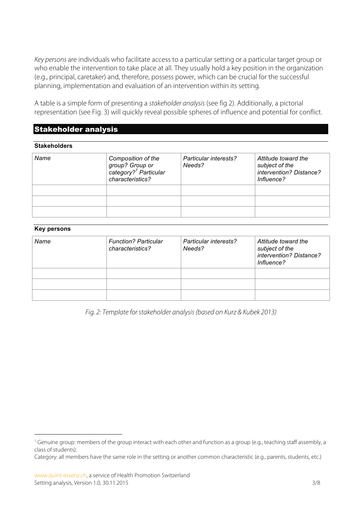*Key persons* are individuals who facilitate access to a particular setting or a particular target group or who enable the intervention to take place at all. They usually hold a key position in the organization (e.g., principal, caretaker) and, therefore, possess power, which can be crucial for the successful planning, implementation and evaluation of an intervention within its setting.

A table is a simple form of presenting a *stakeholder analysis* (see fig 2). Additionally, a pictorial representation (see Fig. 3) will quickly reveal possible spheres of influence and potential for conflict.

### Stakeholder analysis

#### **Stakeholders**

| Name | Composition of the<br>group? Group or<br>category? <sup>1</sup> Particular<br>characteristics? | Particular interests?<br>Needs? | Attitude toward the<br>subject of the<br>intervention? Distance?<br>Influence? |
|------|------------------------------------------------------------------------------------------------|---------------------------------|--------------------------------------------------------------------------------|
|      |                                                                                                |                                 |                                                                                |
|      |                                                                                                |                                 |                                                                                |
|      |                                                                                                |                                 |                                                                                |

#### **Key persons**

| Name | <b>Function? Particular</b><br>characteristics? | Particular interests?<br>Needs? | Attitude toward the<br>subject of the<br>intervention? Distance?<br>Influence? |
|------|-------------------------------------------------|---------------------------------|--------------------------------------------------------------------------------|
|      |                                                 |                                 |                                                                                |
|      |                                                 |                                 |                                                                                |
|      |                                                 |                                 |                                                                                |

*Fig. 2: Template for stakeholder analysis (based on Kurz & Kubek 2013)*

<sup>&</sup>lt;sup>1</sup> Genuine group: members of the group interact with each other and function as a group (e.g., teaching staff assembly, a class of students).

Category: all members have the same role in the setting or another common characteristic (e.g., parents, students, etc.)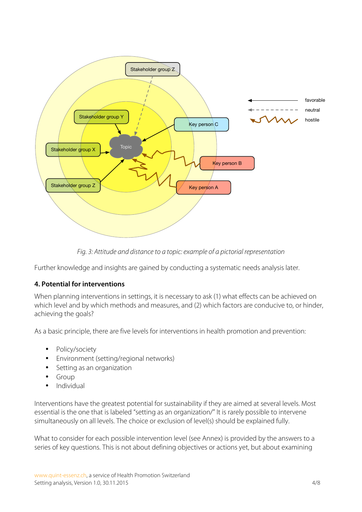

*Fig. 3: Attitude and distance to a topic: example of a pictorial representation*

Further knowledge and insights are gained by conducting a systematic needs analysis later.

### **4. Potential for interventions**

When planning interventions in settings, it is necessary to ask (1) what effects can be achieved on which level and by which methods and measures, and (2) which factors are conducive to, or hinder, achieving the goals?

As a basic principle, there are five levels for interventions in health promotion and prevention:

- Policy/society
- Environment (setting/regional networks)
- Setting as an organization
- Group
- Individual

Interventions have the greatest potential for sustainability if they are aimed at several levels. Most essential is the one that is labeled "setting as an organization/" It is rarely possible to intervene simultaneously on all levels. The choice or exclusion of level(s) should be explained fully.

What to consider for each possible intervention level (see Annex) is provided by the answers to a series of key questions. This is not about defining objectives or actions yet, but about examining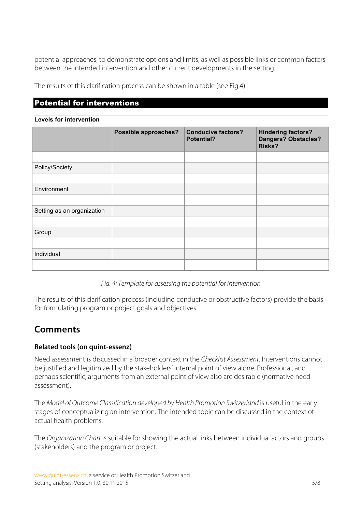potential approaches, to demonstrate options and limits, as well as possible links or common factors between the intended intervention and other current developments in the setting.

The results of this clarification process can be shown in a table (see Fig.4).

### Potential for interventions

#### **Levels for intervention**

|                            | <b>Possible approaches?</b> | <b>Conducive factors?</b><br><b>Potential?</b> | <b>Hindering factors?</b><br>Dangers? Obstacles?<br><b>Risks?</b> |
|----------------------------|-----------------------------|------------------------------------------------|-------------------------------------------------------------------|
|                            |                             |                                                |                                                                   |
| Policy/Society             |                             |                                                |                                                                   |
|                            |                             |                                                |                                                                   |
| Environment                |                             |                                                |                                                                   |
|                            |                             |                                                |                                                                   |
| Setting as an organization |                             |                                                |                                                                   |
|                            |                             |                                                |                                                                   |
| Group                      |                             |                                                |                                                                   |
|                            |                             |                                                |                                                                   |
| Individual                 |                             |                                                |                                                                   |
|                            |                             |                                                |                                                                   |

*Fig. 4: Template for assessing the potential for intervention* 

The results of this clarification process (including conducive or obstructive factors) provide the basis for formulating program or project goals and objectives.

## **Comments**

### **Related tools (on quint-essenz)**

Need assessment is discussed in a broader context in the *Checklist Assessment*. Interventions cannot be justified and legitimized by the stakeholders' internal point of view alone. Professional, and perhaps scientific, arguments from an external point of view also are desirable (normative need assessment).

The *Model of Outcome Classification developed by Health Promotion Switzerland* is useful in the early stages of conceptualizing an intervention. The intended topic can be discussed in the context of actual health problems.

The *Organization Chart* is suitable for showing the actual links between individual actors and groups (stakeholders) and the program or project.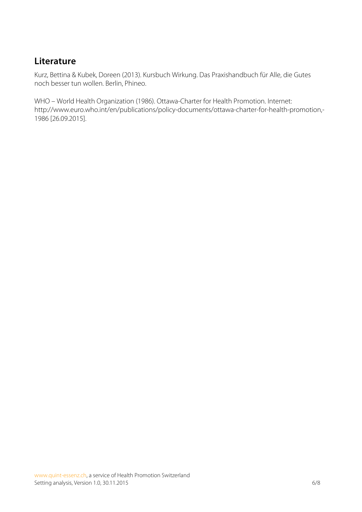## **Literature**

Kurz, Bettina & Kubek, Doreen (2013). Kursbuch Wirkung. Das Praxishandbuch für Alle, die Gutes noch besser tun wollen. Berlin, Phineo.

WHO – World Health Organization (1986). Ottawa-Charter for Health Promotion. Internet: http://www.euro.who.int/en/publications/policy-documents/ottawa-charter-for-health-promotion,- 1986 [26.09.2015].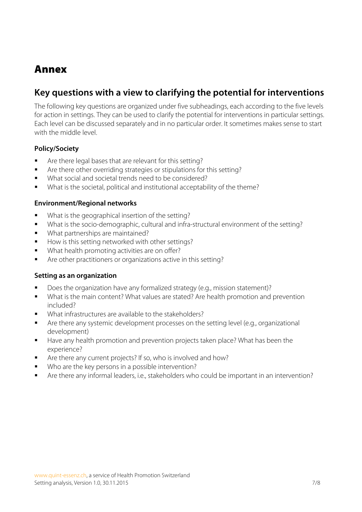# Annex

## **Key questions with a view to clarifying the potential for interventions**

The following key questions are organized under five subheadings, each according to the five levels for action in settings. They can be used to clarify the potential for interventions in particular settings. Each level can be discussed separately and in no particular order. It sometimes makes sense to start with the middle level.

### **Policy/Society**

- § Are there legal bases that are relevant for this setting?
- Are there other overriding strategies or stipulations for this setting?
- What social and societal trends need to be considered?
- What is the societal, political and institutional acceptability of the theme?

### **Environment/Regional networks**

- What is the geographical insertion of the setting?
- § What is the socio-demographic, cultural and infra-structural environment of the setting?
- What partnerships are maintained?
- How is this setting networked with other settings?
- What health promoting activities are on offer?
- § Are other practitioners or organizations active in this setting?

#### **Setting as an organization**

- Does the organization have any formalized strategy (e.g., mission statement)?
- What is the main content? What values are stated? Are health promotion and prevention included?
- § What infrastructures are available to the stakeholders?
- Are there any systemic development processes on the setting level (e.g., organizational development)
- Have any health promotion and prevention projects taken place? What has been the experience?
- Are there any current projects? If so, who is involved and how?
- Who are the key persons in a possible intervention?
- § Are there any informal leaders, i.e., stakeholders who could be important in an intervention?